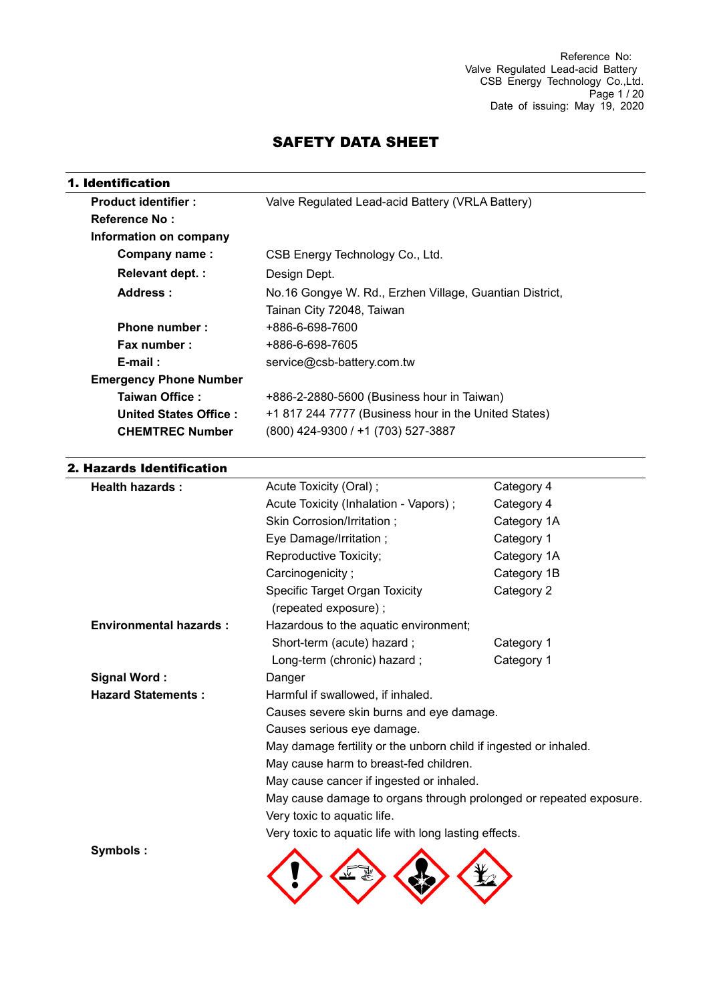# SAFETY DATA SHEET

| <b>Product identifier:</b>    | Valve Regulated Lead-acid Battery (VRLA Battery)        |
|-------------------------------|---------------------------------------------------------|
| <b>Reference No:</b>          |                                                         |
| Information on company        |                                                         |
| Company name:                 | CSB Energy Technology Co., Ltd.                         |
| <b>Relevant dept.:</b>        | Design Dept.                                            |
| Address:                      | No.16 Gongye W. Rd., Erzhen Village, Guantian District, |
|                               | Tainan City 72048, Taiwan                               |
| Phone number:                 | +886-6-698-7600                                         |
| Fax number:                   | +886-6-698-7605                                         |
| $E$ -mail:                    | service@csb-battery.com.tw                              |
| <b>Emergency Phone Number</b> |                                                         |
| Taiwan Office:                | +886-2-2880-5600 (Business hour in Taiwan)              |
| United States Office:         | +1 817 244 7777 (Business hour in the United States)    |
| <b>CHEMTREC Number</b>        | (800) 424-9300 / +1 (703) 527-3887                      |

## 2. Hazards Identification

| <b>Health hazards:</b>        | Acute Toxicity (Oral);<br>Category 4                               |             |  |  |
|-------------------------------|--------------------------------------------------------------------|-------------|--|--|
|                               | Acute Toxicity (Inhalation - Vapors);                              | Category 4  |  |  |
|                               | Skin Corrosion/Irritation;                                         | Category 1A |  |  |
|                               | Eye Damage/Irritation;<br>Category 1                               |             |  |  |
|                               | Reproductive Toxicity;                                             | Category 1A |  |  |
|                               | Carcinogenicity;                                                   | Category 1B |  |  |
|                               | Specific Target Organ Toxicity<br>Category 2                       |             |  |  |
|                               | (repeated exposure);                                               |             |  |  |
| <b>Environmental hazards:</b> | Hazardous to the aquatic environment;                              |             |  |  |
|                               | Short-term (acute) hazard;                                         | Category 1  |  |  |
|                               | Long-term (chronic) hazard;                                        | Category 1  |  |  |
| <b>Signal Word:</b>           | Danger                                                             |             |  |  |
| <b>Hazard Statements:</b>     | Harmful if swallowed, if inhaled.                                  |             |  |  |
|                               | Causes severe skin burns and eye damage.                           |             |  |  |
|                               | Causes serious eye damage.                                         |             |  |  |
|                               | May damage fertility or the unborn child if ingested or inhaled.   |             |  |  |
|                               | May cause harm to breast-fed children.                             |             |  |  |
|                               | May cause cancer if ingested or inhaled.                           |             |  |  |
|                               | May cause damage to organs through prolonged or repeated exposure. |             |  |  |
|                               | Very toxic to aquatic life.                                        |             |  |  |
|                               | Very toxic to aquatic life with long lasting effects.              |             |  |  |
| Symbols:                      |                                                                    |             |  |  |
|                               |                                                                    |             |  |  |
|                               |                                                                    |             |  |  |
|                               |                                                                    |             |  |  |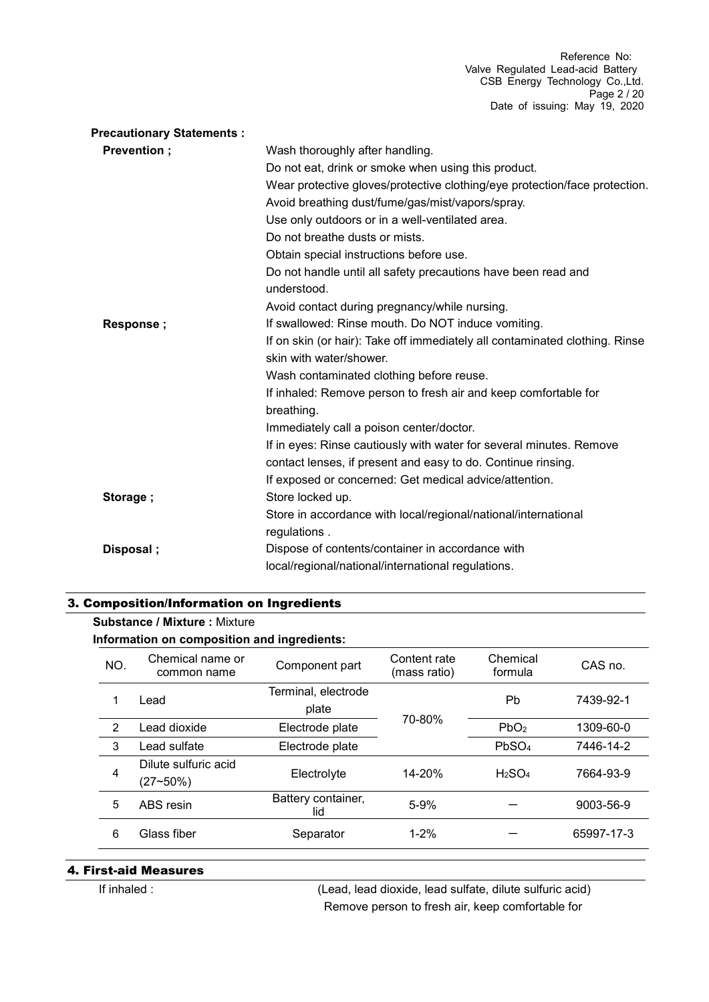| <b>Precautionary Statements:</b> |                                                                              |
|----------------------------------|------------------------------------------------------------------------------|
| Prevention;                      | Wash thoroughly after handling.                                              |
|                                  | Do not eat, drink or smoke when using this product.                          |
|                                  | Wear protective gloves/protective clothing/eye protection/face protection.   |
|                                  | Avoid breathing dust/fume/gas/mist/vapors/spray.                             |
|                                  | Use only outdoors or in a well-ventilated area.                              |
|                                  | Do not breathe dusts or mists.                                               |
|                                  | Obtain special instructions before use.                                      |
|                                  | Do not handle until all safety precautions have been read and<br>understood. |
|                                  | Avoid contact during pregnancy/while nursing.                                |
| Response;                        | If swallowed: Rinse mouth. Do NOT induce vomiting.                           |
|                                  | If on skin (or hair): Take off immediately all contaminated clothing. Rinse  |
|                                  | skin with water/shower.                                                      |
|                                  | Wash contaminated clothing before reuse.                                     |
|                                  | If inhaled: Remove person to fresh air and keep comfortable for              |
|                                  | breathing.                                                                   |
|                                  | Immediately call a poison center/doctor.                                     |
|                                  | If in eyes: Rinse cautiously with water for several minutes. Remove          |
|                                  | contact lenses, if present and easy to do. Continue rinsing.                 |
|                                  | If exposed or concerned: Get medical advice/attention.                       |
| Storage;                         | Store locked up.                                                             |
|                                  | Store in accordance with local/regional/national/international               |
|                                  | regulations.                                                                 |
| Disposal;                        | Dispose of contents/container in accordance with                             |
|                                  | local/regional/national/international regulations.                           |

### 3. Composition/Information on Ingredients

#### **Substance / Mixture :** Mixture

**Information on composition and ingredients:**

| NO. | Chemical name or<br>common name  | Component part               | Content rate<br>(mass ratio) | Chemical<br>formula            | CAS no.    |
|-----|----------------------------------|------------------------------|------------------------------|--------------------------------|------------|
| 1   | Lead                             | Terminal, electrode<br>plate |                              |                                | 7439-92-1  |
| 2   | Lead dioxide                     | Electrode plate              | 70-80%                       | PbO <sub>2</sub>               | 1309-60-0  |
| 3   | Lead sulfate                     | Electrode plate              |                              |                                | 7446-14-2  |
| 4   | Dilute sulfuric acid<br>(27~50%) | Electrolyte                  | $14 - 20%$                   | H <sub>2</sub> SO <sub>4</sub> | 7664-93-9  |
| 5   | ABS resin                        | Battery container,<br>lid    | $5 - 9%$                     |                                | 9003-56-9  |
| 6   | Glass fiber<br>Separator         |                              | $1 - 2%$                     |                                | 65997-17-3 |

#### 4. First-aid Measures

If inhaled : (Lead, lead dioxide, lead sulfate, dilute sulfuric acid) Remove person to fresh air, keep comfortable for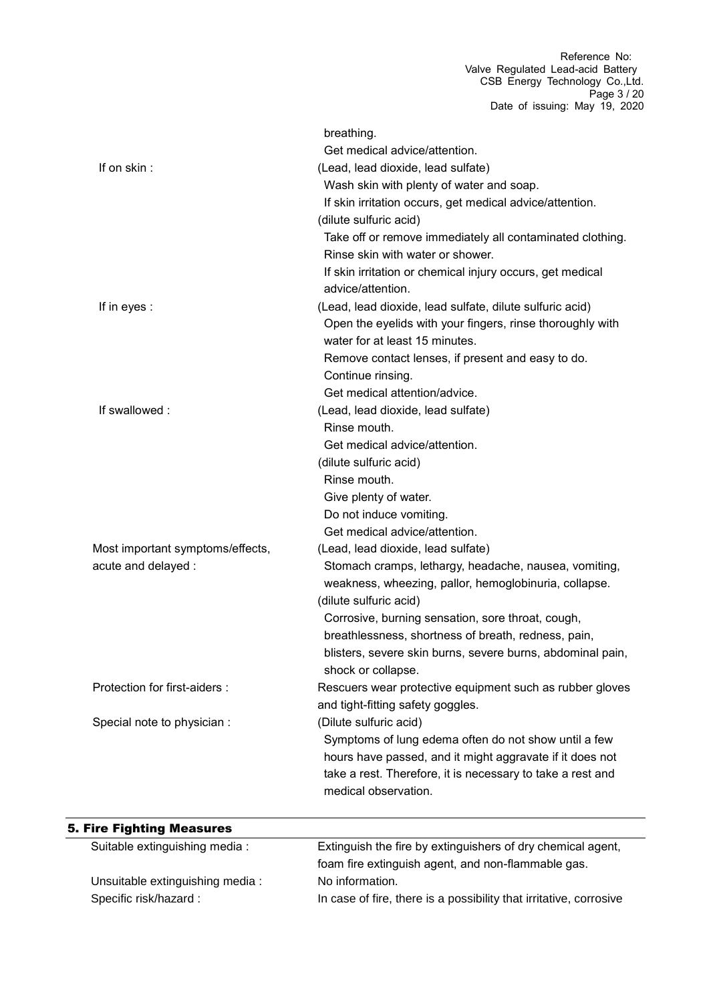|                                  | breathing.                                                                                    |
|----------------------------------|-----------------------------------------------------------------------------------------------|
| If on skin:                      | Get medical advice/attention.                                                                 |
|                                  | (Lead, lead dioxide, lead sulfate)                                                            |
|                                  | Wash skin with plenty of water and soap.                                                      |
|                                  | If skin irritation occurs, get medical advice/attention.                                      |
|                                  | (dilute sulfuric acid)                                                                        |
|                                  | Take off or remove immediately all contaminated clothing.<br>Rinse skin with water or shower. |
|                                  | If skin irritation or chemical injury occurs, get medical<br>advice/attention.                |
| If in eyes :                     | (Lead, lead dioxide, lead sulfate, dilute sulfuric acid)                                      |
|                                  | Open the eyelids with your fingers, rinse thoroughly with<br>water for at least 15 minutes.   |
|                                  | Remove contact lenses, if present and easy to do.                                             |
|                                  | Continue rinsing.                                                                             |
|                                  | Get medical attention/advice.                                                                 |
| If swallowed:                    | (Lead, lead dioxide, lead sulfate)                                                            |
|                                  | Rinse mouth.                                                                                  |
|                                  | Get medical advice/attention.                                                                 |
|                                  | (dilute sulfuric acid)                                                                        |
|                                  | Rinse mouth.                                                                                  |
|                                  | Give plenty of water.                                                                         |
|                                  | Do not induce vomiting.                                                                       |
|                                  | Get medical advice/attention.                                                                 |
| Most important symptoms/effects, | (Lead, lead dioxide, lead sulfate)                                                            |
| acute and delayed :              | Stomach cramps, lethargy, headache, nausea, vomiting,                                         |
|                                  | weakness, wheezing, pallor, hemoglobinuria, collapse.                                         |
|                                  | (dilute sulfuric acid)                                                                        |
|                                  | Corrosive, burning sensation, sore throat, cough,                                             |
|                                  | breathlessness, shortness of breath, redness, pain,                                           |
|                                  | blisters, severe skin burns, severe burns, abdominal pain,                                    |
|                                  | shock or collapse.                                                                            |
| Protection for first-aiders :    | Rescuers wear protective equipment such as rubber gloves                                      |
|                                  | and tight-fitting safety goggles.                                                             |
| Special note to physician :      | (Dilute sulfuric acid)                                                                        |
|                                  | Symptoms of lung edema often do not show until a few                                          |
|                                  | hours have passed, and it might aggravate if it does not                                      |
|                                  | take a rest. Therefore, it is necessary to take a rest and                                    |
|                                  | medical observation.                                                                          |
|                                  |                                                                                               |

# 5. Fire Fighting Measures

| Suitable extinguishing media :  | Extinguish the fire by extinguishers of dry chemical agent,        |
|---------------------------------|--------------------------------------------------------------------|
|                                 | foam fire extinguish agent, and non-flammable gas.                 |
| Unsuitable extinguishing media: | No information.                                                    |
| Specific risk/hazard :          | In case of fire, there is a possibility that irritative, corrosive |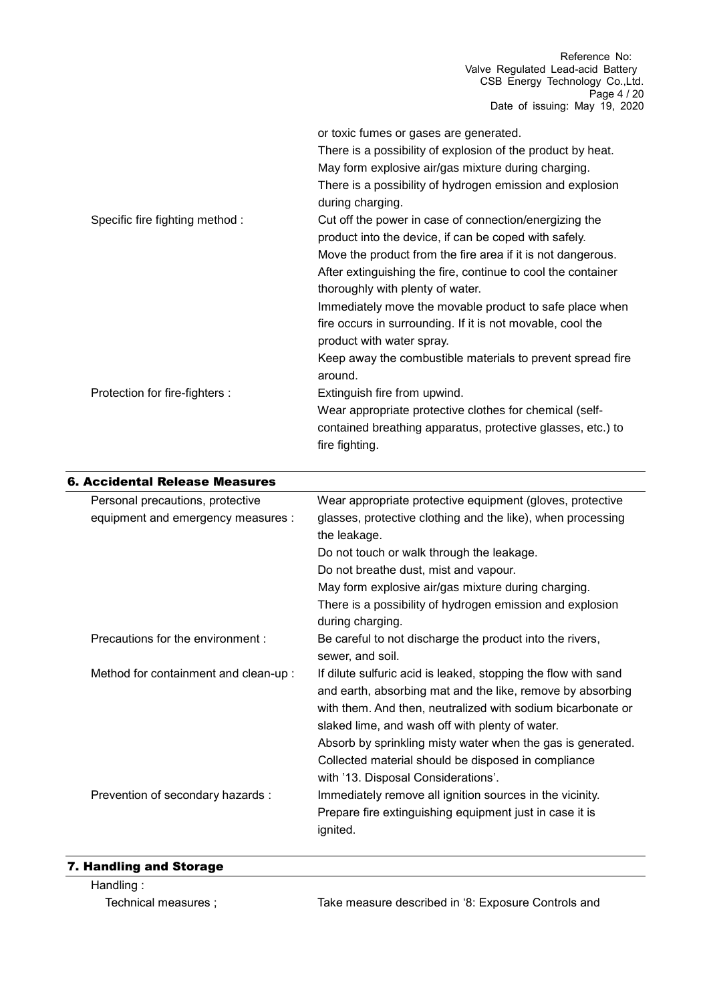|                                 | or toxic fumes or gases are generated.                                        |
|---------------------------------|-------------------------------------------------------------------------------|
|                                 | There is a possibility of explosion of the product by heat.                   |
|                                 | May form explosive air/gas mixture during charging.                           |
|                                 | There is a possibility of hydrogen emission and explosion<br>during charging. |
| Specific fire fighting method : | Cut off the power in case of connection/energizing the                        |
|                                 | product into the device, if can be coped with safely.                         |
|                                 | Move the product from the fire area if it is not dangerous.                   |
|                                 | After extinguishing the fire, continue to cool the container                  |
|                                 | thoroughly with plenty of water.                                              |
|                                 | Immediately move the movable product to safe place when                       |
|                                 | fire occurs in surrounding. If it is not movable, cool the                    |
|                                 | product with water spray.                                                     |
|                                 | Keep away the combustible materials to prevent spread fire<br>around.         |
| Protection for fire-fighters :  | Extinguish fire from upwind.                                                  |
|                                 | Wear appropriate protective clothes for chemical (self-                       |
|                                 | contained breathing apparatus, protective glasses, etc.) to<br>fire fighting. |

| Wear appropriate protective equipment (gloves, protective                                                                                                                                                                                                                                                     |
|---------------------------------------------------------------------------------------------------------------------------------------------------------------------------------------------------------------------------------------------------------------------------------------------------------------|
| glasses, protective clothing and the like), when processing<br>the leakage.                                                                                                                                                                                                                                   |
| Do not touch or walk through the leakage.                                                                                                                                                                                                                                                                     |
| Do not breathe dust, mist and vapour.                                                                                                                                                                                                                                                                         |
| May form explosive air/gas mixture during charging.                                                                                                                                                                                                                                                           |
| There is a possibility of hydrogen emission and explosion<br>during charging.                                                                                                                                                                                                                                 |
| Be careful to not discharge the product into the rivers,<br>sewer, and soil.                                                                                                                                                                                                                                  |
| If dilute sulfuric acid is leaked, stopping the flow with sand<br>and earth, absorbing mat and the like, remove by absorbing<br>with them. And then, neutralized with sodium bicarbonate or<br>slaked lime, and wash off with plenty of water.<br>Absorb by sprinkling misty water when the gas is generated. |
| Collected material should be disposed in compliance<br>with '13. Disposal Considerations'.                                                                                                                                                                                                                    |
| Immediately remove all ignition sources in the vicinity.                                                                                                                                                                                                                                                      |
| Prepare fire extinguishing equipment just in case it is<br>ignited.                                                                                                                                                                                                                                           |
|                                                                                                                                                                                                                                                                                                               |

## 7. Handling and Storage

Handling :

Technical measures ; Take measure described in '8: Exposure Controls and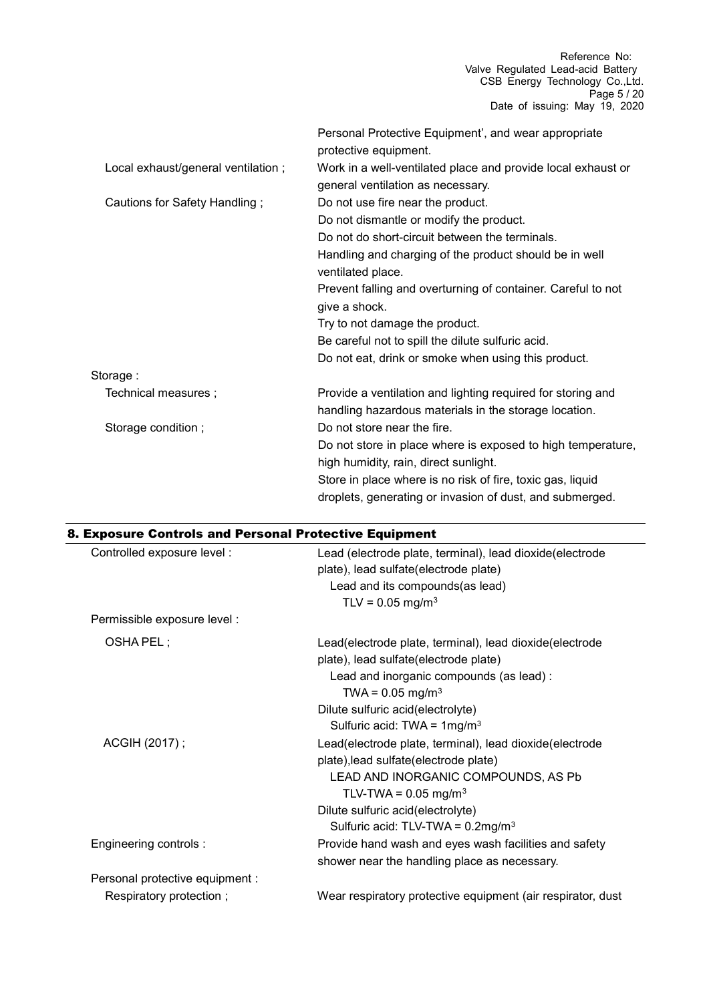|                                    | Personal Protective Equipment', and wear appropriate<br>protective equipment. |
|------------------------------------|-------------------------------------------------------------------------------|
| Local exhaust/general ventilation; | Work in a well-ventilated place and provide local exhaust or                  |
|                                    | general ventilation as necessary.                                             |
| Cautions for Safety Handling;      | Do not use fire near the product.                                             |
|                                    | Do not dismantle or modify the product.                                       |
|                                    | Do not do short-circuit between the terminals.                                |
|                                    | Handling and charging of the product should be in well<br>ventilated place.   |
|                                    | Prevent falling and overturning of container. Careful to not                  |
|                                    | give a shock.                                                                 |
|                                    | Try to not damage the product.                                                |
|                                    | Be careful not to spill the dilute sulfuric acid.                             |
|                                    | Do not eat, drink or smoke when using this product.                           |
| Storage:                           |                                                                               |
| Technical measures;                | Provide a ventilation and lighting required for storing and                   |
|                                    | handling hazardous materials in the storage location.                         |
| Storage condition;                 | Do not store near the fire.                                                   |
|                                    | Do not store in place where is exposed to high temperature,                   |
|                                    | high humidity, rain, direct sunlight.                                         |
|                                    | Store in place where is no risk of fire, toxic gas, liquid                    |
|                                    | droplets, generating or invasion of dust, and submerged.                      |

| 8. Exposure Controls and Personal Protective Equipment |                                                             |  |  |
|--------------------------------------------------------|-------------------------------------------------------------|--|--|
| Controlled exposure level :                            | Lead (electrode plate, terminal), lead dioxide(electrode    |  |  |
|                                                        | plate), lead sulfate(electrode plate)                       |  |  |
|                                                        | Lead and its compounds(as lead)                             |  |  |
|                                                        | TLV = $0.05 \text{ mg/m}^3$                                 |  |  |
| Permissible exposure level :                           |                                                             |  |  |
| OSHA PEL;                                              | Lead(electrode plate, terminal), lead dioxide(electrode     |  |  |
|                                                        | plate), lead sulfate(electrode plate)                       |  |  |
|                                                        | Lead and inorganic compounds (as lead) :                    |  |  |
|                                                        | TWA = $0.05 \text{ mg/m}^3$                                 |  |  |
|                                                        | Dilute sulfuric acid(electrolyte)                           |  |  |
|                                                        | Sulfuric acid: TWA = $1mg/m3$                               |  |  |
| ACGIH (2017);                                          | Lead(electrode plate, terminal), lead dioxide(electrode     |  |  |
|                                                        | plate), lead sulfate(electrode plate)                       |  |  |
|                                                        | LEAD AND INORGANIC COMPOUNDS, AS Pb                         |  |  |
|                                                        | TLV-TWA = $0.05$ mg/m <sup>3</sup>                          |  |  |
|                                                        | Dilute sulfuric acid(electrolyte)                           |  |  |
|                                                        | Sulfuric acid: TLV-TWA = $0.2 \text{mg/m}^3$                |  |  |
| Engineering controls :                                 | Provide hand wash and eyes wash facilities and safety       |  |  |
|                                                        | shower near the handling place as necessary.                |  |  |
| Personal protective equipment :                        |                                                             |  |  |
| Respiratory protection;                                | Wear respiratory protective equipment (air respirator, dust |  |  |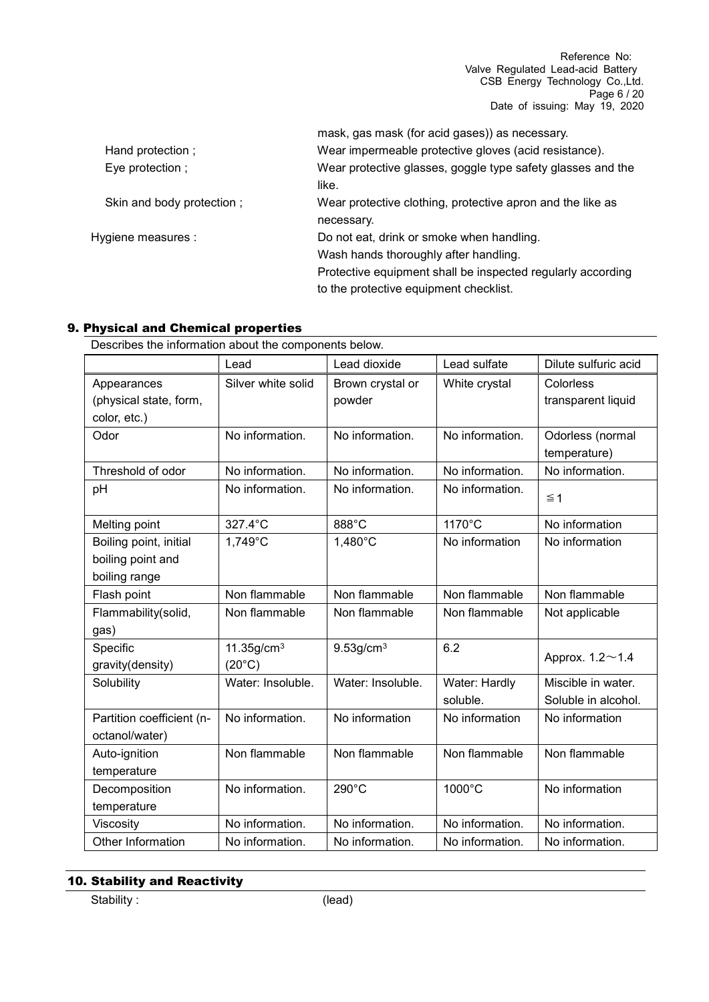Reference No: Valve Regulated Lead-acid Battery CSB Energy Technology Co.,Ltd. Page 6 / 20 Date of issuing: May 19, 2020

|                           | mask, gas mask (for acid gases)) as necessary.              |
|---------------------------|-------------------------------------------------------------|
| Hand protection;          | Wear impermeable protective gloves (acid resistance).       |
| Eye protection ;          | Wear protective glasses, goggle type safety glasses and the |
|                           | like.                                                       |
| Skin and body protection; | Wear protective clothing, protective apron and the like as  |
|                           | necessary.                                                  |
| Hygiene measures :        | Do not eat, drink or smoke when handling.                   |
|                           | Wash hands thoroughly after handling.                       |
|                           | Protective equipment shall be inspected regularly according |
|                           | to the protective equipment checklist.                      |
|                           |                                                             |

### 9. Physical and Chemical properties

Describes the information about the components below.

|                                                              | Lead                                         | Lead dioxide               | Lead sulfate              | Dilute sulfuric acid                      |
|--------------------------------------------------------------|----------------------------------------------|----------------------------|---------------------------|-------------------------------------------|
| Appearances<br>(physical state, form,<br>color, etc.)        | Silver white solid                           | Brown crystal or<br>powder | White crystal             | Colorless<br>transparent liquid           |
| Odor                                                         | No information.                              | No information.            | No information.           | Odorless (normal<br>temperature)          |
| Threshold of odor                                            | No information.                              | No information.            | No information.           | No information.                           |
| рH                                                           | No information.                              | No information.            | No information.           | $\leq 1$                                  |
| Melting point                                                | 327.4°C                                      | 888°C                      | 1170°C                    | No information                            |
| Boiling point, initial<br>boiling point and<br>boiling range | 1,749°C                                      | 1,480°C                    | No information            | No information                            |
| Flash point                                                  | Non flammable                                | Non flammable              | Non flammable             | Non flammable                             |
| Flammability(solid,<br>gas)                                  | Non flammable                                | Non flammable              | Non flammable             | Not applicable                            |
| Specific<br>gravity(density)                                 | $11.35$ g/cm <sup>3</sup><br>$(20^{\circ}C)$ | $9.53$ g/cm $3$            | 6.2                       | Approx. 1.2~1.4                           |
| Solubility                                                   | Water: Insoluble.                            | Water: Insoluble.          | Water: Hardly<br>soluble. | Miscible in water.<br>Soluble in alcohol. |
| Partition coefficient (n-<br>octanol/water)                  | No information.                              | No information             | No information            | No information                            |
| Auto-ignition<br>temperature                                 | Non flammable                                | Non flammable              | Non flammable             | Non flammable                             |
| Decomposition<br>temperature                                 | No information.                              | 290°C                      | 1000°C                    | No information                            |
| Viscosity                                                    | No information.                              | No information.            | No information.           | No information.                           |
| Other Information                                            | No information.                              | No information.            | No information.           | No information.                           |

# 10. Stability and Reactivity

Stability : (lead)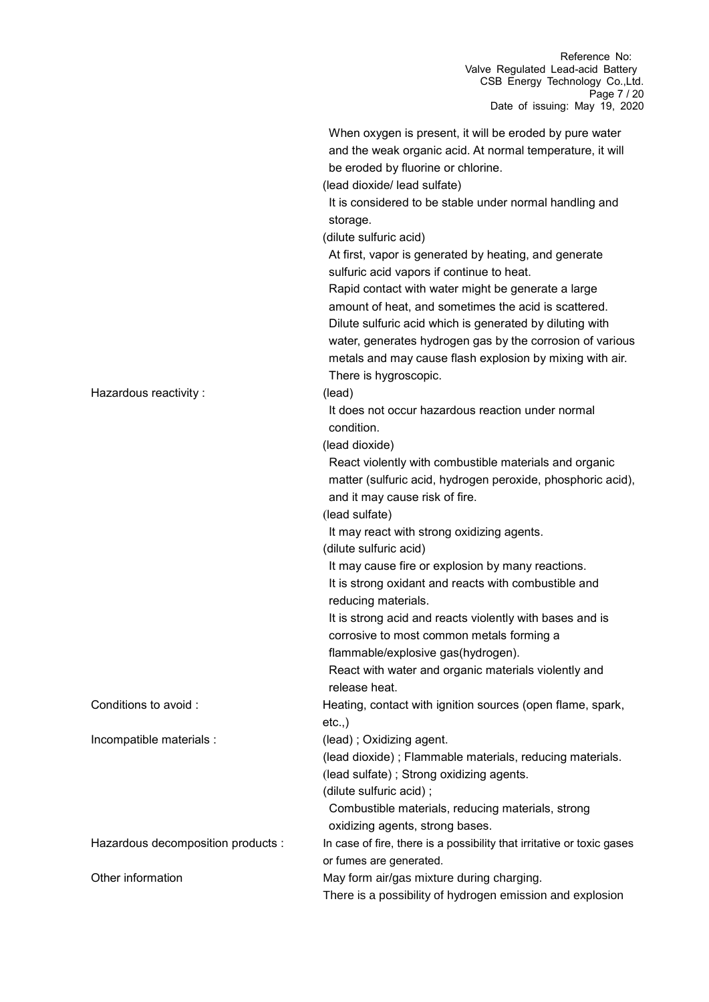| Hazardous reactivity :             | When oxygen is present, it will be eroded by pure water<br>and the weak organic acid. At normal temperature, it will<br>be eroded by fluorine or chlorine.<br>(lead dioxide/ lead sulfate)<br>It is considered to be stable under normal handling and<br>storage.<br>(dilute sulfuric acid)<br>At first, vapor is generated by heating, and generate<br>sulfuric acid vapors if continue to heat.<br>Rapid contact with water might be generate a large<br>amount of heat, and sometimes the acid is scattered.<br>Dilute sulfuric acid which is generated by diluting with<br>water, generates hydrogen gas by the corrosion of various<br>metals and may cause flash explosion by mixing with air.<br>There is hygroscopic.<br>(lead)<br>It does not occur hazardous reaction under normal |
|------------------------------------|----------------------------------------------------------------------------------------------------------------------------------------------------------------------------------------------------------------------------------------------------------------------------------------------------------------------------------------------------------------------------------------------------------------------------------------------------------------------------------------------------------------------------------------------------------------------------------------------------------------------------------------------------------------------------------------------------------------------------------------------------------------------------------------------|
|                                    | condition.<br>(lead dioxide)<br>React violently with combustible materials and organic<br>matter (sulfuric acid, hydrogen peroxide, phosphoric acid),<br>and it may cause risk of fire.                                                                                                                                                                                                                                                                                                                                                                                                                                                                                                                                                                                                      |
|                                    | (lead sulfate)<br>It may react with strong oxidizing agents.<br>(dilute sulfuric acid)<br>It may cause fire or explosion by many reactions.                                                                                                                                                                                                                                                                                                                                                                                                                                                                                                                                                                                                                                                  |
|                                    | It is strong oxidant and reacts with combustible and<br>reducing materials.<br>It is strong acid and reacts violently with bases and is                                                                                                                                                                                                                                                                                                                                                                                                                                                                                                                                                                                                                                                      |
|                                    | corrosive to most common metals forming a<br>flammable/explosive gas(hydrogen).<br>React with water and organic materials violently and                                                                                                                                                                                                                                                                                                                                                                                                                                                                                                                                                                                                                                                      |
| Conditions to avoid :              | release heat.<br>Heating, contact with ignition sources (open flame, spark,<br>etc.,                                                                                                                                                                                                                                                                                                                                                                                                                                                                                                                                                                                                                                                                                                         |
| Incompatible materials :           | (lead); Oxidizing agent.<br>(lead dioxide); Flammable materials, reducing materials.<br>(lead sulfate); Strong oxidizing agents.<br>(dilute sulfuric acid);<br>Combustible materials, reducing materials, strong                                                                                                                                                                                                                                                                                                                                                                                                                                                                                                                                                                             |
| Hazardous decomposition products : | oxidizing agents, strong bases.<br>In case of fire, there is a possibility that irritative or toxic gases<br>or fumes are generated.                                                                                                                                                                                                                                                                                                                                                                                                                                                                                                                                                                                                                                                         |
| Other information                  | May form air/gas mixture during charging.<br>There is a possibility of hydrogen emission and explosion                                                                                                                                                                                                                                                                                                                                                                                                                                                                                                                                                                                                                                                                                       |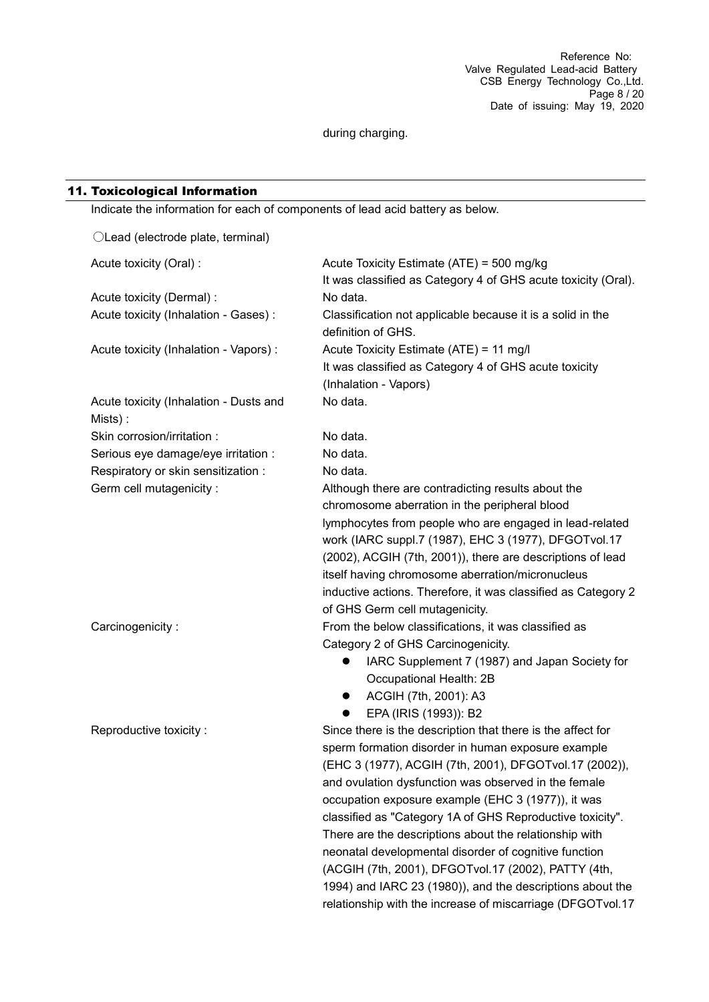during charging.

#### 11. Toxicological Information

| Indicate the information for each of components of lead acid battery as below. |                                                                                  |
|--------------------------------------------------------------------------------|----------------------------------------------------------------------------------|
| OLead (electrode plate, terminal)                                              |                                                                                  |
| Acute toxicity (Oral) :                                                        | Acute Toxicity Estimate (ATE) = 500 mg/kg                                        |
|                                                                                | It was classified as Category 4 of GHS acute toxicity (Oral).                    |
| Acute toxicity (Dermal) :                                                      | No data.                                                                         |
| Acute toxicity (Inhalation - Gases) :                                          | Classification not applicable because it is a solid in the<br>definition of GHS. |
| Acute toxicity (Inhalation - Vapors) :                                         | Acute Toxicity Estimate (ATE) = 11 mg/l                                          |
|                                                                                | It was classified as Category 4 of GHS acute toxicity                            |
|                                                                                | (Inhalation - Vapors)                                                            |
| Acute toxicity (Inhalation - Dusts and<br>Mists):                              | No data.                                                                         |
| Skin corrosion/irritation :                                                    | No data.                                                                         |
| Serious eye damage/eye irritation :                                            | No data.                                                                         |
| Respiratory or skin sensitization :                                            | No data.                                                                         |
| Germ cell mutagenicity :                                                       | Although there are contradicting results about the                               |
|                                                                                | chromosome aberration in the peripheral blood                                    |
|                                                                                | lymphocytes from people who are engaged in lead-related                          |
|                                                                                | work (IARC suppl.7 (1987), EHC 3 (1977), DFGOTvol.17                             |
|                                                                                | (2002), ACGIH (7th, 2001)), there are descriptions of lead                       |
|                                                                                | itself having chromosome aberration/micronucleus                                 |
|                                                                                | inductive actions. Therefore, it was classified as Category 2                    |
|                                                                                | of GHS Germ cell mutagenicity.                                                   |
| Carcinogenicity:                                                               | From the below classifications, it was classified as                             |
|                                                                                | Category 2 of GHS Carcinogenicity.                                               |
|                                                                                | IARC Supplement 7 (1987) and Japan Society for<br>$\bullet$                      |
|                                                                                | Occupational Health: 2B                                                          |
|                                                                                | ACGIH (7th, 2001): A3                                                            |
|                                                                                | EPA (IRIS (1993)): B2                                                            |
| Reproductive toxicity:                                                         | Since there is the description that there is the affect for                      |
|                                                                                | sperm formation disorder in human exposure example                               |
|                                                                                | (EHC 3 (1977), ACGIH (7th, 2001), DFGOTvol.17 (2002)),                           |
|                                                                                | and ovulation dysfunction was observed in the female                             |
|                                                                                | occupation exposure example (EHC 3 (1977)), it was                               |
|                                                                                | classified as "Category 1A of GHS Reproductive toxicity".                        |
|                                                                                | There are the descriptions about the relationship with                           |
|                                                                                | neonatal developmental disorder of cognitive function                            |
|                                                                                | (ACGIH (7th, 2001), DFGOTvol.17 (2002), PATTY (4th,                              |
|                                                                                | 1994) and IARC 23 (1980)), and the descriptions about the                        |
|                                                                                | relationship with the increase of miscarriage (DFGOTvol.17                       |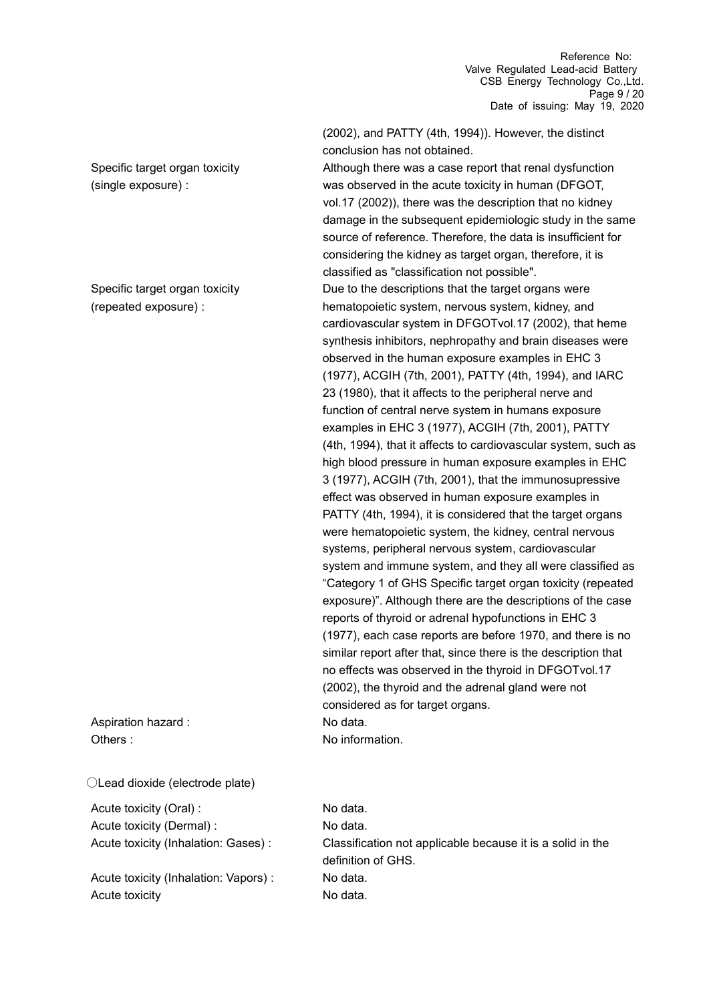Specific target organ toxicity (single exposure) :

Specific target organ toxicity (repeated exposure) :

Aspiration hazard : No data. Others : No information

○Lead dioxide (electrode plate)

Acute toxicity (Oral) : No data. Acute toxicity (Dermal) : No data.

Acute toxicity (Inhalation: Vapors) : No data. Acute toxicity **No data.** No data.

(2002), and PATTY (4th, 1994)). However, the distinct conclusion has not obtained.

Although there was a case report that renal dysfunction was observed in the acute toxicity in human (DFGOT, vol.17 (2002)), there was the description that no kidney damage in the subsequent epidemiologic study in the same source of reference. Therefore, the data is insufficient for considering the kidney as target organ, therefore, it is classified as "classification not possible".

Due to the descriptions that the target organs were hematopoietic system, nervous system, kidney, and cardiovascular system in DFGOTvol.17 (2002), that heme synthesis inhibitors, nephropathy and brain diseases were observed in the human exposure examples in EHC 3 (1977), ACGIH (7th, 2001), PATTY (4th, 1994), and IARC 23 (1980), that it affects to the peripheral nerve and function of central nerve system in humans exposure examples in EHC 3 (1977), ACGIH (7th, 2001), PATTY (4th, 1994), that it affects to cardiovascular system, such as high blood pressure in human exposure examples in EHC 3 (1977), ACGIH (7th, 2001), that the immunosupressive effect was observed in human exposure examples in PATTY (4th, 1994), it is considered that the target organs were hematopoietic system, the kidney, central nervous systems, peripheral nervous system, cardiovascular system and immune system, and they all were classified as "Category 1 of GHS Specific target organ toxicity (repeated exposure)". Although there are the descriptions of the case reports of thyroid or adrenal hypofunctions in EHC 3 (1977), each case reports are before 1970, and there is no similar report after that, since there is the description that no effects was observed in the thyroid in DFGOTvol.17 (2002), the thyroid and the adrenal gland were not considered as for target organs.

Acute toxicity (Inhalation: Gases) : Classification not applicable because it is a solid in the definition of GHS.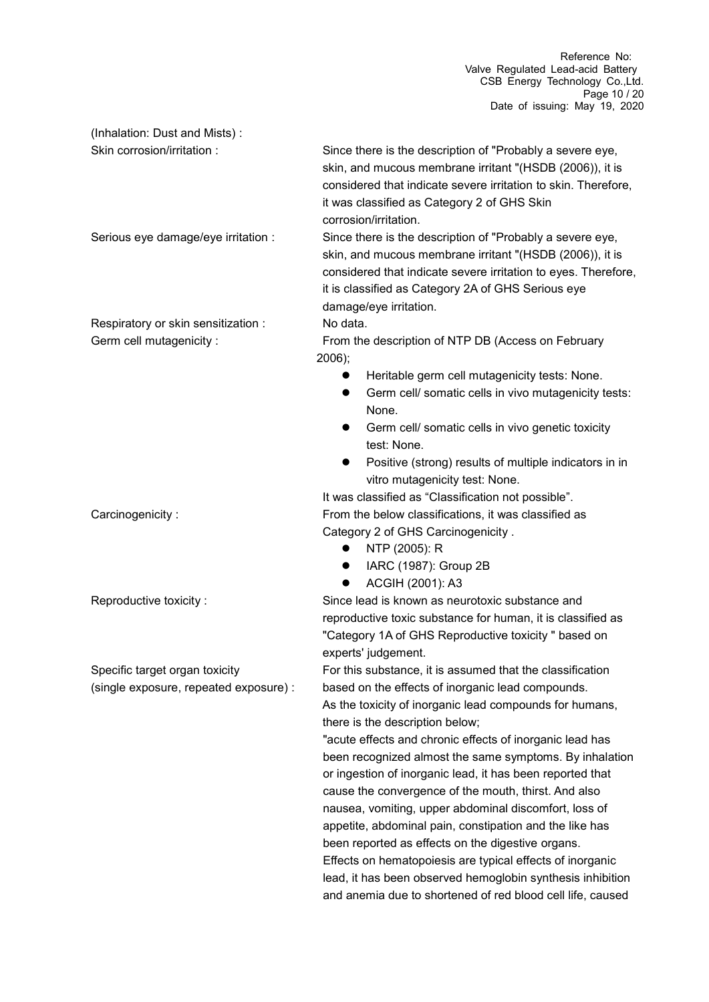Reference No: Valve Regulated Lead-acid Battery CSB Energy Technology Co.,Ltd. Page 10 / 20 Date of issuing: May 19, 2020

(Inhalation: Dust and Mists) : Skin corrosion/irritation : Since there is the description of "Probably a severe eye, skin, and mucous membrane irritant "(HSDB (2006)), it is considered that indicate severe irritation to skin. Therefore, it was classified as Category 2 of GHS Skin corrosion/irritation. Serious eye damage/eye irritation : Since there is the description of "Probably a severe eye, skin, and mucous membrane irritant "(HSDB (2006)), it is considered that indicate severe irritation to eyes. Therefore, it is classified as Category 2A of GHS Serious eye damage/eye irritation. Respiratory or skin sensitization : No data. Germ cell mutagenicity : From the description of NTP DB (Access on February 2006); Heritable germ cell mutagenicity tests: None. **Germ cell/ somatic cells in vivo mutagenicity tests:** None. Germ cell/ somatic cells in vivo genetic toxicity test: None. Positive (strong) results of multiple indicators in in vitro mutagenicity test: None. It was classified as "Classification not possible". Carcinogenicity : From the below classifications, it was classified as Category 2 of GHS Carcinogenicity . • NTP (2005): R IARC (1987): Group 2B ● ACGIH (2001): A3 Reproductive toxicity : Since lead is known as neurotoxic substance and reproductive toxic substance for human, it is classified as "Category 1A of GHS Reproductive toxicity " based on experts' judgement. Specific target organ toxicity (single exposure, repeated exposure) : For this substance, it is assumed that the classification based on the effects of inorganic lead compounds. As the toxicity of inorganic lead compounds for humans, there is the description below; "acute effects and chronic effects of inorganic lead has been recognized almost the same symptoms. By inhalation or ingestion of inorganic lead, it has been reported that cause the convergence of the mouth, thirst. And also nausea, vomiting, upper abdominal discomfort, loss of appetite, abdominal pain, constipation and the like has been reported as effects on the digestive organs. Effects on hematopoiesis are typical effects of inorganic lead, it has been observed hemoglobin synthesis inhibition and anemia due to shortened of red blood cell life, caused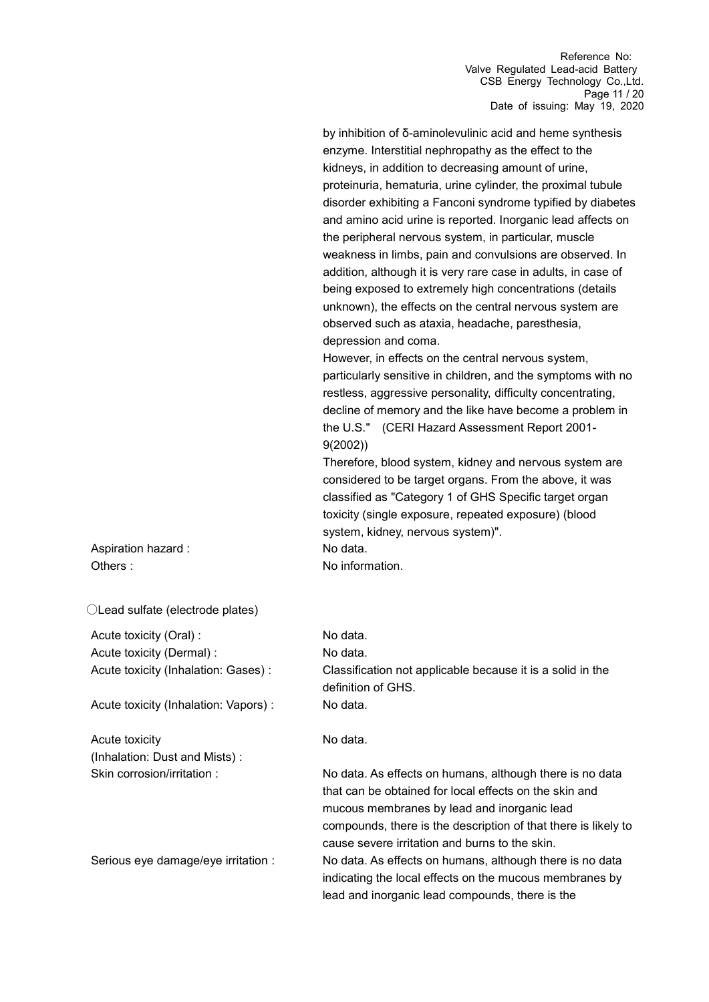by inhibition of δ-aminolevulinic acid and heme synthesis enzyme. Interstitial nephropathy as the effect to the kidneys, in addition to decreasing amount of urine, proteinuria, hematuria, urine cylinder, the proximal tubule disorder exhibiting a Fanconi syndrome typified by diabetes and amino acid urine is reported. Inorganic lead affects on the peripheral nervous system, in particular, muscle weakness in limbs, pain and convulsions are observed. In addition, although it is very rare case in adults, in case of being exposed to extremely high concentrations (details unknown), the effects on the central nervous system are observed such as ataxia, headache, paresthesia, depression and coma.

However, in effects on the central nervous system, particularly sensitive in children, and the symptoms with no restless, aggressive personality, difficulty concentrating, decline of memory and the like have become a problem in the U.S." (CERI Hazard Assessment Report 2001- 9(2002))

Therefore, blood system, kidney and nervous system are considered to be target organs. From the above, it was classified as "Category 1 of GHS Specific target organ toxicity (single exposure, repeated exposure) (blood system, kidney, nervous system)".

Aspiration hazard : No data. Others : No information.

○Lead sulfate (electrode plates)

Acute toxicity (Oral) : No data. Acute toxicity (Dermal) : No data.

Acute toxicity (Inhalation: Vapors) : No data.

Acute toxicity (Inhalation: Dust and Mists) :

Acute toxicity (Inhalation: Gases) : Classification not applicable because it is a solid in the definition of GHS.

No data.

Skin corrosion/irritation : No data. As effects on humans, although there is no data that can be obtained for local effects on the skin and mucous membranes by lead and inorganic lead compounds, there is the description of that there is likely to cause severe irritation and burns to the skin. Serious eye damage/eye irritation : No data. As effects on humans, although there is no data indicating the local effects on the mucous membranes by lead and inorganic lead compounds, there is the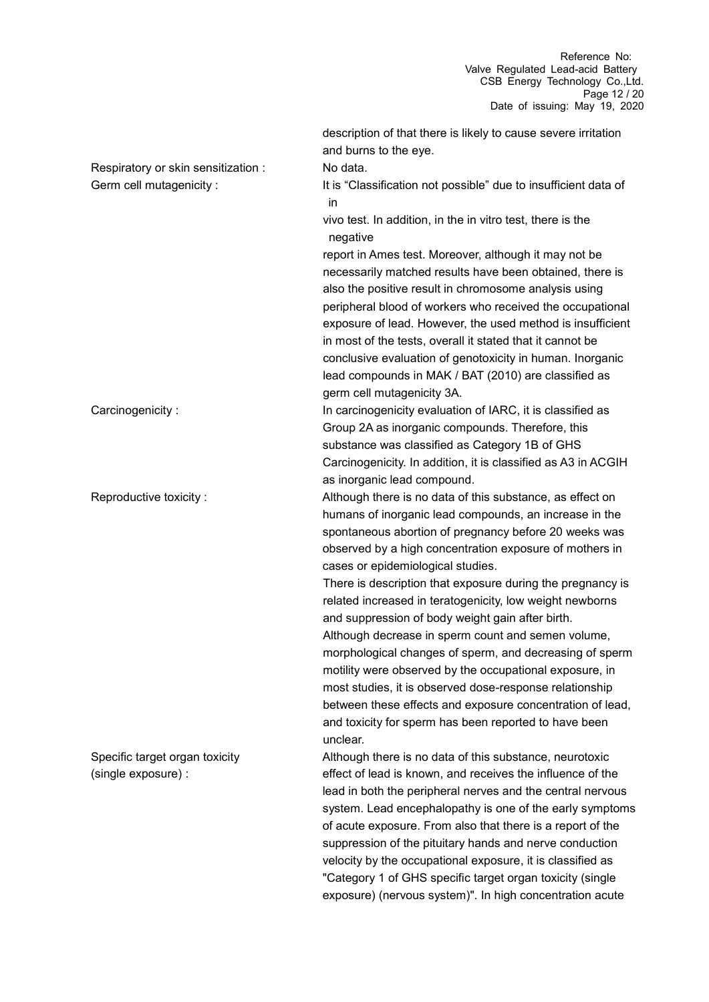Reference No: Valve Regulated Lead-acid Battery CSB Energy Technology Co.,Ltd. Page 12 / 20 Date of issuing: May 19, 2020

|                                     | description of that there is likely to cause severe irritation                     |
|-------------------------------------|------------------------------------------------------------------------------------|
|                                     | and burns to the eye.                                                              |
| Respiratory or skin sensitization : | No data.                                                                           |
| Germ cell mutagenicity :            | It is "Classification not possible" due to insufficient data of<br>in              |
|                                     | vivo test. In addition, in the in vitro test, there is the<br>negative             |
|                                     | report in Ames test. Moreover, although it may not be                              |
|                                     | necessarily matched results have been obtained, there is                           |
|                                     | also the positive result in chromosome analysis using                              |
|                                     | peripheral blood of workers who received the occupational                          |
|                                     | exposure of lead. However, the used method is insufficient                         |
|                                     | in most of the tests, overall it stated that it cannot be                          |
|                                     | conclusive evaluation of genotoxicity in human. Inorganic                          |
|                                     | lead compounds in MAK / BAT (2010) are classified as<br>germ cell mutagenicity 3A. |
| Carcinogenicity:                    | In carcinogenicity evaluation of IARC, it is classified as                         |
|                                     | Group 2A as inorganic compounds. Therefore, this                                   |
|                                     | substance was classified as Category 1B of GHS                                     |
|                                     | Carcinogenicity. In addition, it is classified as A3 in ACGIH                      |
|                                     | as inorganic lead compound.                                                        |
| Reproductive toxicity:              | Although there is no data of this substance, as effect on                          |
|                                     | humans of inorganic lead compounds, an increase in the                             |
|                                     | spontaneous abortion of pregnancy before 20 weeks was                              |
|                                     | observed by a high concentration exposure of mothers in                            |
|                                     | cases or epidemiological studies.                                                  |
|                                     | There is description that exposure during the pregnancy is                         |
|                                     | related increased in teratogenicity, low weight newborns                           |
|                                     | and suppression of body weight gain after birth.                                   |
|                                     | Although decrease in sperm count and semen volume,                                 |
|                                     | morphological changes of sperm, and decreasing of sperm                            |
|                                     | motility were observed by the occupational exposure, in                            |
|                                     | most studies, it is observed dose-response relationship                            |
|                                     | between these effects and exposure concentration of lead,                          |
|                                     | and toxicity for sperm has been reported to have been                              |
|                                     | unclear.                                                                           |
| Specific target organ toxicity      | Although there is no data of this substance, neurotoxic                            |
| (single exposure) :                 | effect of lead is known, and receives the influence of the                         |
|                                     | lead in both the peripheral nerves and the central nervous                         |
|                                     | system. Lead encephalopathy is one of the early symptoms                           |
|                                     | of acute exposure. From also that there is a report of the                         |
|                                     | suppression of the pituitary hands and nerve conduction                            |
|                                     | velocity by the occupational exposure, it is classified as                         |
|                                     | "Category 1 of GHS specific target organ toxicity (single                          |
|                                     | exposure) (nervous system)". In high concentration acute                           |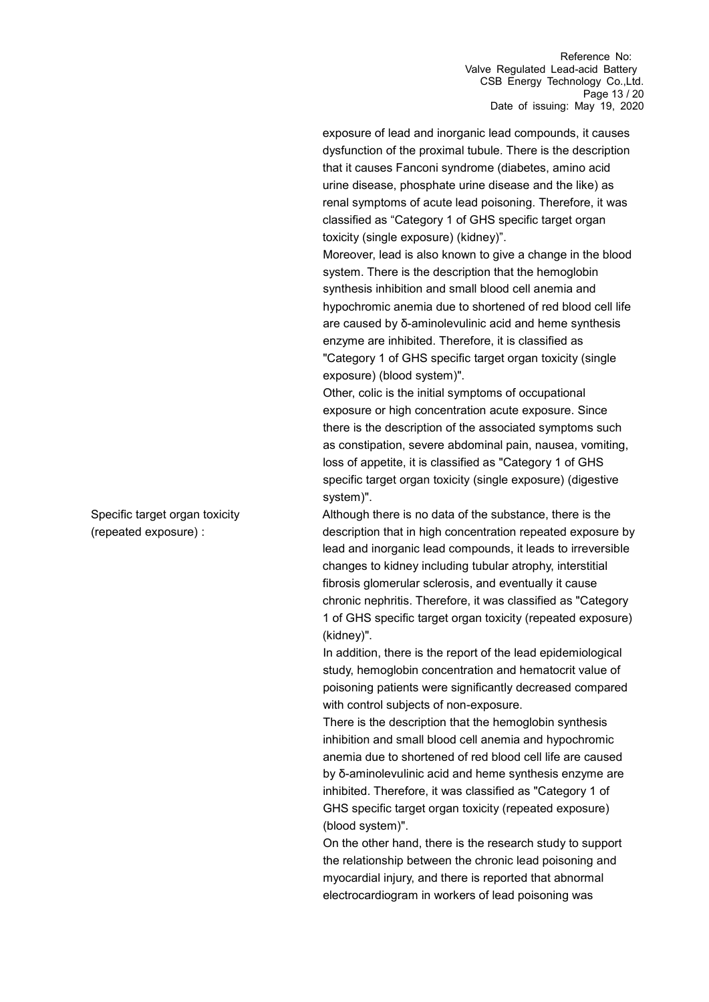exposure of lead and inorganic lead compounds, it causes dysfunction of the proximal tubule. There is the description that it causes Fanconi syndrome (diabetes, amino acid urine disease, phosphate urine disease and the like) as renal symptoms of acute lead poisoning. Therefore, it was classified as "Category 1 of GHS specific target organ toxicity (single exposure) (kidney)".

Moreover, lead is also known to give a change in the blood system. There is the description that the hemoglobin synthesis inhibition and small blood cell anemia and hypochromic anemia due to shortened of red blood cell life are caused by δ-aminolevulinic acid and heme synthesis enzyme are inhibited. Therefore, it is classified as "Category 1 of GHS specific target organ toxicity (single exposure) (blood system)".

Other, colic is the initial symptoms of occupational exposure or high concentration acute exposure. Since there is the description of the associated symptoms such as constipation, severe abdominal pain, nausea, vomiting, loss of appetite, it is classified as "Category 1 of GHS specific target organ toxicity (single exposure) (digestive system)".

Although there is no data of the substance, there is the description that in high concentration repeated exposure by lead and inorganic lead compounds, it leads to irreversible changes to kidney including tubular atrophy, interstitial fibrosis glomerular sclerosis, and eventually it cause chronic nephritis. Therefore, it was classified as "Category 1 of GHS specific target organ toxicity (repeated exposure) (kidney)".

In addition, there is the report of the lead epidemiological study, hemoglobin concentration and hematocrit value of poisoning patients were significantly decreased compared with control subjects of non-exposure.

There is the description that the hemoglobin synthesis inhibition and small blood cell anemia and hypochromic anemia due to shortened of red blood cell life are caused by δ-aminolevulinic acid and heme synthesis enzyme are inhibited. Therefore, it was classified as "Category 1 of GHS specific target organ toxicity (repeated exposure) (blood system)".

On the other hand, there is the research study to support the relationship between the chronic lead poisoning and myocardial injury, and there is reported that abnormal electrocardiogram in workers of lead poisoning was

Specific target organ toxicity (repeated exposure) :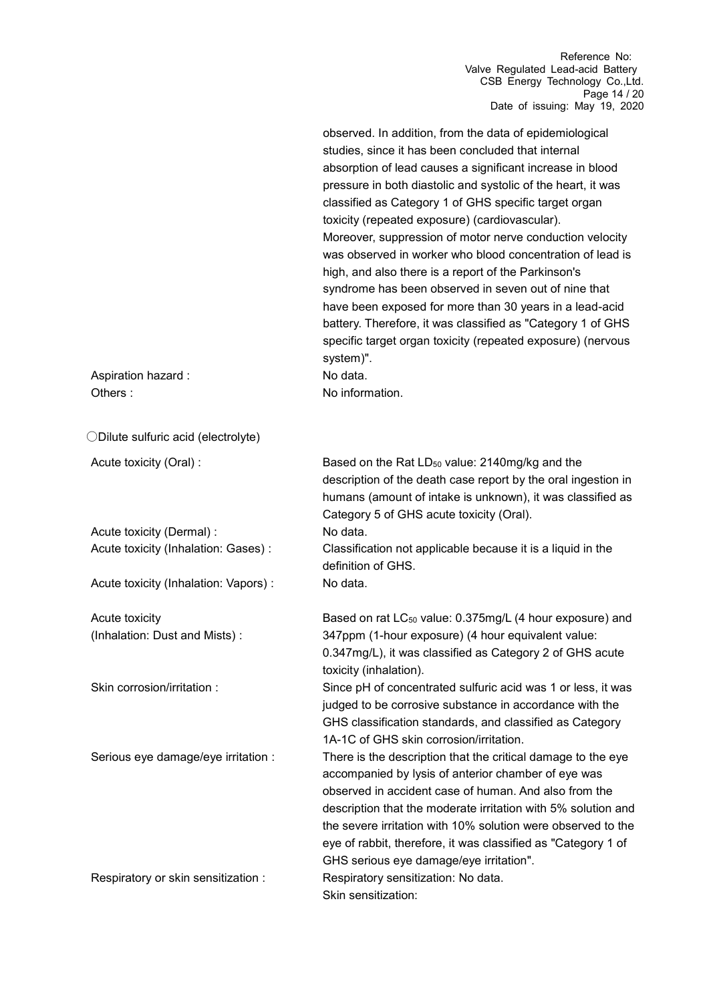Reference No: Valve Regulated Lead-acid Battery CSB Energy Technology Co.,Ltd. Page 14 / 20 Date of issuing: May 19, 2020

| Aspiration hazard :<br>Others:        | observed. In addition, from the data of epidemiological<br>studies, since it has been concluded that internal<br>absorption of lead causes a significant increase in blood<br>pressure in both diastolic and systolic of the heart, it was<br>classified as Category 1 of GHS specific target organ<br>toxicity (repeated exposure) (cardiovascular).<br>Moreover, suppression of motor nerve conduction velocity<br>was observed in worker who blood concentration of lead is<br>high, and also there is a report of the Parkinson's<br>syndrome has been observed in seven out of nine that<br>have been exposed for more than 30 years in a lead-acid<br>battery. Therefore, it was classified as "Category 1 of GHS<br>specific target organ toxicity (repeated exposure) (nervous<br>system)".<br>No data.<br>No information. |
|---------------------------------------|------------------------------------------------------------------------------------------------------------------------------------------------------------------------------------------------------------------------------------------------------------------------------------------------------------------------------------------------------------------------------------------------------------------------------------------------------------------------------------------------------------------------------------------------------------------------------------------------------------------------------------------------------------------------------------------------------------------------------------------------------------------------------------------------------------------------------------|
| ODilute sulfuric acid (electrolyte)   |                                                                                                                                                                                                                                                                                                                                                                                                                                                                                                                                                                                                                                                                                                                                                                                                                                    |
| Acute toxicity (Oral) :               | Based on the Rat LD <sub>50</sub> value: 2140mg/kg and the<br>description of the death case report by the oral ingestion in<br>humans (amount of intake is unknown), it was classified as<br>Category 5 of GHS acute toxicity (Oral).                                                                                                                                                                                                                                                                                                                                                                                                                                                                                                                                                                                              |
| Acute toxicity (Dermal) :             | No data.                                                                                                                                                                                                                                                                                                                                                                                                                                                                                                                                                                                                                                                                                                                                                                                                                           |
| Acute toxicity (Inhalation: Gases) :  | Classification not applicable because it is a liquid in the<br>definition of GHS.                                                                                                                                                                                                                                                                                                                                                                                                                                                                                                                                                                                                                                                                                                                                                  |
| Acute toxicity (Inhalation: Vapors) : | No data.                                                                                                                                                                                                                                                                                                                                                                                                                                                                                                                                                                                                                                                                                                                                                                                                                           |
| Acute toxicity                        | Based on rat LC <sub>50</sub> value: 0.375mg/L (4 hour exposure) and                                                                                                                                                                                                                                                                                                                                                                                                                                                                                                                                                                                                                                                                                                                                                               |
| (Inhalation: Dust and Mists):         | 347ppm (1-hour exposure) (4 hour equivalent value:<br>0.347mg/L), it was classified as Category 2 of GHS acute<br>toxicity (inhalation).                                                                                                                                                                                                                                                                                                                                                                                                                                                                                                                                                                                                                                                                                           |
| Skin corrosion/irritation:            | Since pH of concentrated sulfuric acid was 1 or less, it was<br>judged to be corrosive substance in accordance with the<br>GHS classification standards, and classified as Category<br>1A-1C of GHS skin corrosion/irritation.                                                                                                                                                                                                                                                                                                                                                                                                                                                                                                                                                                                                     |
| Serious eye damage/eye irritation :   | There is the description that the critical damage to the eye<br>accompanied by lysis of anterior chamber of eye was<br>observed in accident case of human. And also from the<br>description that the moderate irritation with 5% solution and<br>the severe irritation with 10% solution were observed to the<br>eye of rabbit, therefore, it was classified as "Category 1 of<br>GHS serious eye damage/eye irritation".                                                                                                                                                                                                                                                                                                                                                                                                          |
| Respiratory or skin sensitization :   | Respiratory sensitization: No data.<br>Skin sensitization:                                                                                                                                                                                                                                                                                                                                                                                                                                                                                                                                                                                                                                                                                                                                                                         |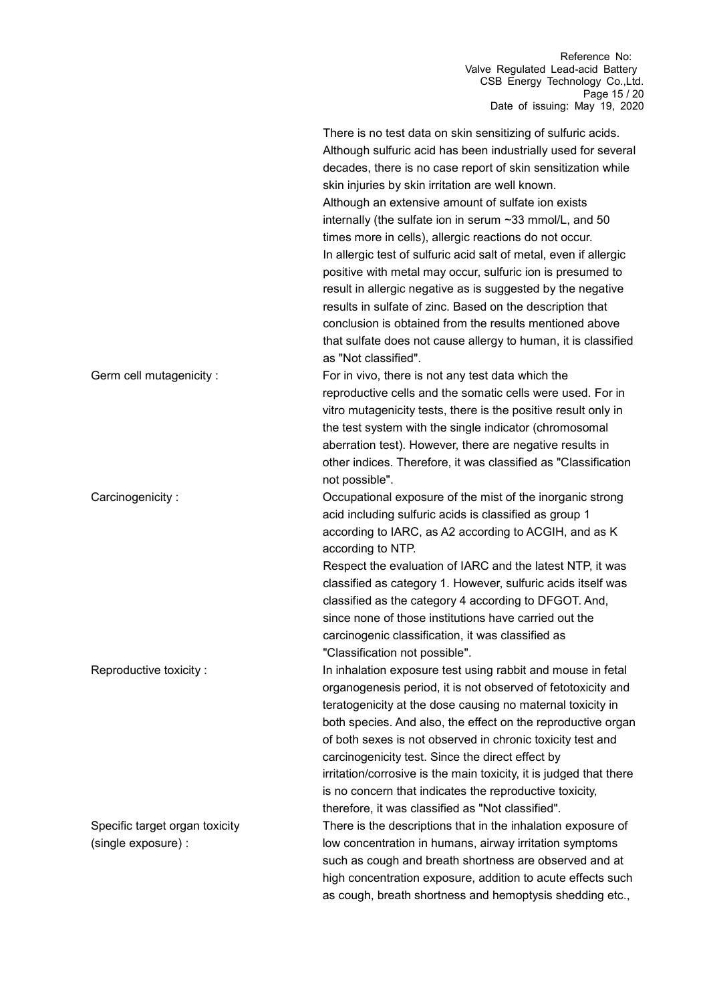Reference No: Valve Regulated Lead-acid Battery CSB Energy Technology Co.,Ltd. Page 15 / 20 Date of issuing: May 19, 2020

|                                                       | There is no test data on skin sensitizing of sulfuric acids.<br>Although sulfuric acid has been industrially used for several<br>decades, there is no case report of skin sensitization while<br>skin injuries by skin irritation are well known.<br>Although an extensive amount of sulfate ion exists<br>internally (the sulfate ion in serum ~33 mmol/L, and 50<br>times more in cells), allergic reactions do not occur.<br>In allergic test of sulfuric acid salt of metal, even if allergic<br>positive with metal may occur, sulfuric ion is presumed to<br>result in allergic negative as is suggested by the negative<br>results in sulfate of zinc. Based on the description that<br>conclusion is obtained from the results mentioned above<br>that sulfate does not cause allergy to human, it is classified<br>as "Not classified". |
|-------------------------------------------------------|--------------------------------------------------------------------------------------------------------------------------------------------------------------------------------------------------------------------------------------------------------------------------------------------------------------------------------------------------------------------------------------------------------------------------------------------------------------------------------------------------------------------------------------------------------------------------------------------------------------------------------------------------------------------------------------------------------------------------------------------------------------------------------------------------------------------------------------------------|
| Germ cell mutagenicity :                              | For in vivo, there is not any test data which the<br>reproductive cells and the somatic cells were used. For in<br>vitro mutagenicity tests, there is the positive result only in<br>the test system with the single indicator (chromosomal<br>aberration test). However, there are negative results in<br>other indices. Therefore, it was classified as "Classification<br>not possible".                                                                                                                                                                                                                                                                                                                                                                                                                                                      |
| Carcinogenicity:                                      | Occupational exposure of the mist of the inorganic strong<br>acid including sulfuric acids is classified as group 1<br>according to IARC, as A2 according to ACGIH, and as K<br>according to NTP.<br>Respect the evaluation of IARC and the latest NTP, it was<br>classified as category 1. However, sulfuric acids itself was<br>classified as the category 4 according to DFGOT. And,<br>since none of those institutions have carried out the<br>carcinogenic classification, it was classified as<br>"Classification not possible".                                                                                                                                                                                                                                                                                                          |
| Reproductive toxicity:                                | In inhalation exposure test using rabbit and mouse in fetal<br>organogenesis period, it is not observed of fetotoxicity and<br>teratogenicity at the dose causing no maternal toxicity in<br>both species. And also, the effect on the reproductive organ<br>of both sexes is not observed in chronic toxicity test and<br>carcinogenicity test. Since the direct effect by<br>irritation/corrosive is the main toxicity, it is judged that there<br>is no concern that indicates the reproductive toxicity,<br>therefore, it was classified as "Not classified".                                                                                                                                                                                                                                                                                |
| Specific target organ toxicity<br>(single exposure) : | There is the descriptions that in the inhalation exposure of<br>low concentration in humans, airway irritation symptoms<br>such as cough and breath shortness are observed and at<br>high concentration exposure, addition to acute effects such<br>as cough, breath shortness and hemoptysis shedding etc.,                                                                                                                                                                                                                                                                                                                                                                                                                                                                                                                                     |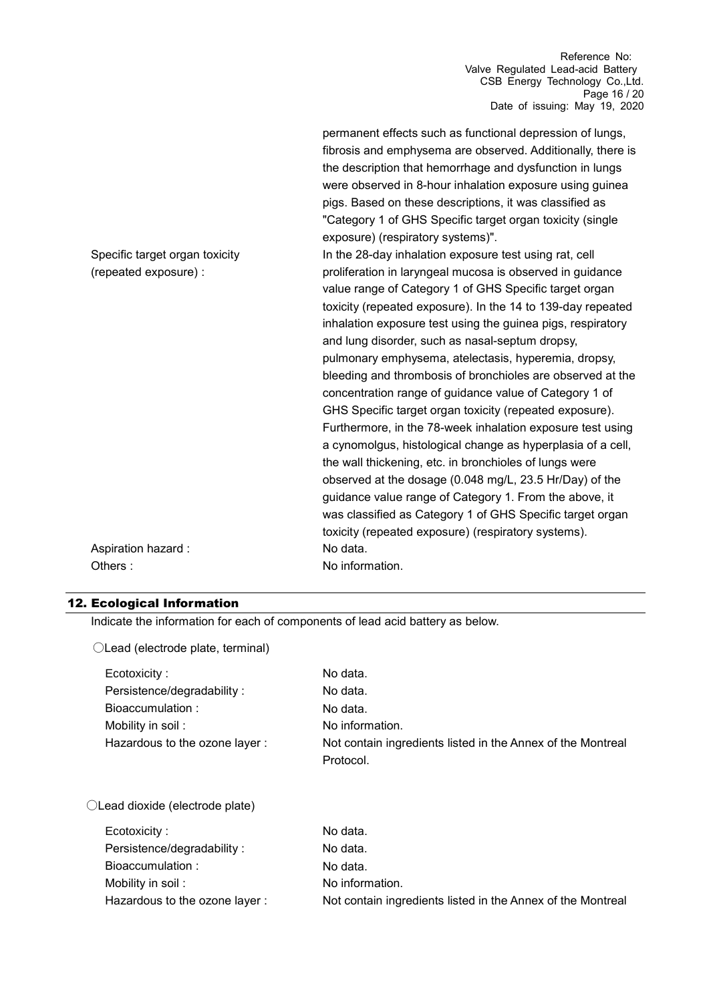Reference No: Valve Regulated Lead-acid Battery CSB Energy Technology Co.,Ltd. Page 16 / 20 Date of issuing: May 19, 2020

|                                                         | permanent effects such as functional depression of lungs,<br>fibrosis and emphysema are observed. Additionally, there is<br>the description that hemorrhage and dysfunction in lungs<br>were observed in 8-hour inhalation exposure using guinea<br>pigs. Based on these descriptions, it was classified as<br>"Category 1 of GHS Specific target organ toxicity (single<br>exposure) (respiratory systems)".                                                                                                                                                                                                    |
|---------------------------------------------------------|------------------------------------------------------------------------------------------------------------------------------------------------------------------------------------------------------------------------------------------------------------------------------------------------------------------------------------------------------------------------------------------------------------------------------------------------------------------------------------------------------------------------------------------------------------------------------------------------------------------|
| Specific target organ toxicity<br>(repeated exposure) : | In the 28-day inhalation exposure test using rat, cell<br>proliferation in laryngeal mucosa is observed in guidance<br>value range of Category 1 of GHS Specific target organ<br>toxicity (repeated exposure). In the 14 to 139-day repeated<br>inhalation exposure test using the guinea pigs, respiratory<br>and lung disorder, such as nasal-septum dropsy,                                                                                                                                                                                                                                                   |
|                                                         | pulmonary emphysema, atelectasis, hyperemia, dropsy,<br>bleeding and thrombosis of bronchioles are observed at the<br>concentration range of guidance value of Category 1 of<br>GHS Specific target organ toxicity (repeated exposure).<br>Furthermore, in the 78-week inhalation exposure test using<br>a cynomolgus, histological change as hyperplasia of a cell,<br>the wall thickening, etc. in bronchioles of lungs were<br>observed at the dosage (0.048 mg/L, 23.5 Hr/Day) of the<br>guidance value range of Category 1. From the above, it<br>was classified as Category 1 of GHS Specific target organ |
| Aspiration hazard :<br>Others:                          | toxicity (repeated exposure) (respiratory systems).<br>No data.<br>No information.                                                                                                                                                                                                                                                                                                                                                                                                                                                                                                                               |

### 12. Ecological Information

Indicate the information for each of components of lead acid battery as below.

| ○Lead (electrode plate, terminal) |                                                             |
|-----------------------------------|-------------------------------------------------------------|
| Ecotoxicity:                      | No data.                                                    |
| Persistence/degradability :       | No data.                                                    |
| Bioaccumulation:                  | No data.                                                    |
| Mobility in soil :                | No information.                                             |
| Hazardous to the ozone layer:     | Not contain ingredients listed in the Annex of the Montreal |
|                                   | Protocol.                                                   |
| ○Lead dioxide (electrode plate)   |                                                             |
| Ecotoxicity:                      | No data.                                                    |
| Persistence/degradability :       | No data.                                                    |
| Bioaccumulation:                  | No data.                                                    |
| Mobility in soil :                | No information.                                             |
| Hazardous to the ozone layer :    | Not contain ingredients listed in the Annex of the Montreal |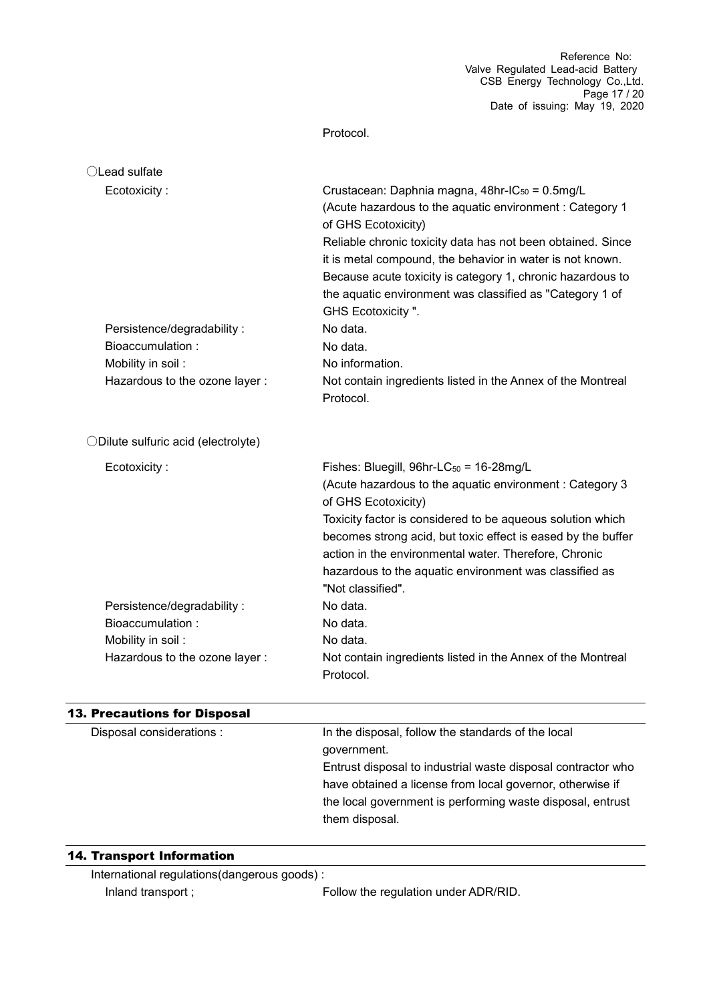Protocol.

| ◯Lead sulfate                       |                                                                                                                                                                                                                                                                                                                                                                                                                          |
|-------------------------------------|--------------------------------------------------------------------------------------------------------------------------------------------------------------------------------------------------------------------------------------------------------------------------------------------------------------------------------------------------------------------------------------------------------------------------|
| Ecotoxicity:                        | Crustacean: Daphnia magna, 48hr-IC <sub>50</sub> = 0.5mg/L<br>(Acute hazardous to the aquatic environment : Category 1<br>of GHS Ecotoxicity)<br>Reliable chronic toxicity data has not been obtained. Since<br>it is metal compound, the behavior in water is not known.<br>Because acute toxicity is category 1, chronic hazardous to<br>the aquatic environment was classified as "Category 1 of<br>GHS Ecotoxicity". |
| Persistence/degradability:          | No data.                                                                                                                                                                                                                                                                                                                                                                                                                 |
| Bioaccumulation:                    | No data.                                                                                                                                                                                                                                                                                                                                                                                                                 |
| Mobility in soil:                   | No information.                                                                                                                                                                                                                                                                                                                                                                                                          |
| Hazardous to the ozone layer :      | Not contain ingredients listed in the Annex of the Montreal<br>Protocol.                                                                                                                                                                                                                                                                                                                                                 |
| ODilute sulfuric acid (electrolyte) |                                                                                                                                                                                                                                                                                                                                                                                                                          |
| Ecotoxicity:                        | Fishes: Bluegill, $96hr$ -LC $_{50}$ = 16-28mg/L<br>(Acute hazardous to the aquatic environment: Category 3<br>of GHS Ecotoxicity)<br>Toxicity factor is considered to be aqueous solution which<br>becomes strong acid, but toxic effect is eased by the buffer<br>action in the environmental water. Therefore, Chronic<br>hazardous to the aquatic environment was classified as<br>"Not classified".                 |
| Persistence/degradability:          | No data.                                                                                                                                                                                                                                                                                                                                                                                                                 |
| Bioaccumulation:                    | No data.                                                                                                                                                                                                                                                                                                                                                                                                                 |
| Mobility in soil:                   | No data.                                                                                                                                                                                                                                                                                                                                                                                                                 |
| Hazardous to the ozone layer :      | Not contain ingredients listed in the Annex of the Montreal<br>Protocol.                                                                                                                                                                                                                                                                                                                                                 |
| <b>13. Precautions for Disposal</b> |                                                                                                                                                                                                                                                                                                                                                                                                                          |
| Disposal considerations :           | In the disposal, follow the standards of the local                                                                                                                                                                                                                                                                                                                                                                       |
|                                     | government.                                                                                                                                                                                                                                                                                                                                                                                                              |
|                                     | Entrust disposal to industrial waste disposal contractor who                                                                                                                                                                                                                                                                                                                                                             |

14. Transport Information

International regulations(dangerous goods) : Inland transport ; The Regulation under ADR/RID.

them disposal.

have obtained a license from local governor, otherwise if the local government is performing waste disposal, entrust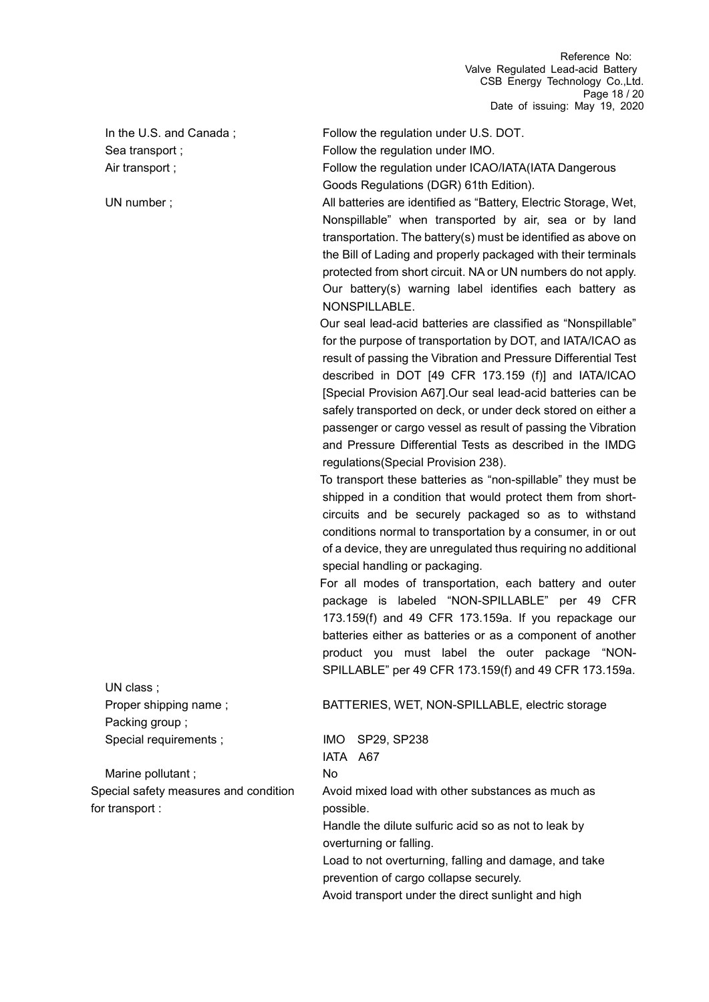Packing group ; Special requirements ; IMO SP29, SP238

UN class ;

Marine pollutant ; No Special safety measures and condition for transport :

In the U.S. and Canada; Follow the regulation under U.S. DOT.

Sea transport ; example 3 and 5 Follow the regulation under IMO.

Air transport ; Follow the regulation under ICAO/IATA(IATA Dangerous Goods Regulations (DGR) 61th Edition).

UN number ; and the same identified as "Battery, Electric Storage, Wet, Nonspillable" when transported by air, sea or by land transportation. The battery(s) must be identified as above on the Bill of Lading and properly packaged with their terminals protected from short circuit. NA or UN numbers do not apply. Our battery(s) warning label identifies each battery as NONSPILLABLE.

> Our seal lead-acid batteries are classified as "Nonspillable" for the purpose of transportation by DOT, and IATA/ICAO as result of passing the Vibration and Pressure Differential Test described in DOT [49 CFR 173.159 (f)] and IATA/ICAO [Special Provision A67].Our seal lead-acid batteries can be safely transported on deck, or under deck stored on either a passenger or cargo vessel as result of passing the Vibration and Pressure Differential Tests as described in the IMDG regulations(Special Provision 238).

> To transport these batteries as "non-spillable" they must be shipped in a condition that would protect them from shortcircuits and be securely packaged so as to withstand conditions normal to transportation by a consumer, in or out of a device, they are unregulated thus requiring no additional special handling or packaging.

> For all modes of transportation, each battery and outer package is labeled "NON-SPILLABLE" per 49 CFR 173.159(f) and 49 CFR 173.159a. If you repackage our batteries either as batteries or as a component of another product you must label the outer package "NON-SPILLABLE" per 49 CFR 173.159(f) and 49 CFR 173.159a.

#### Proper shipping name ; BATTERIES, WET, NON-SPILLABLE, electric storage

IATA A67 Avoid mixed load with other substances as much as possible. Handle the dilute sulfuric acid so as not to leak by overturning or falling. Load to not overturning, falling and damage, and take prevention of cargo collapse securely.

Avoid transport under the direct sunlight and high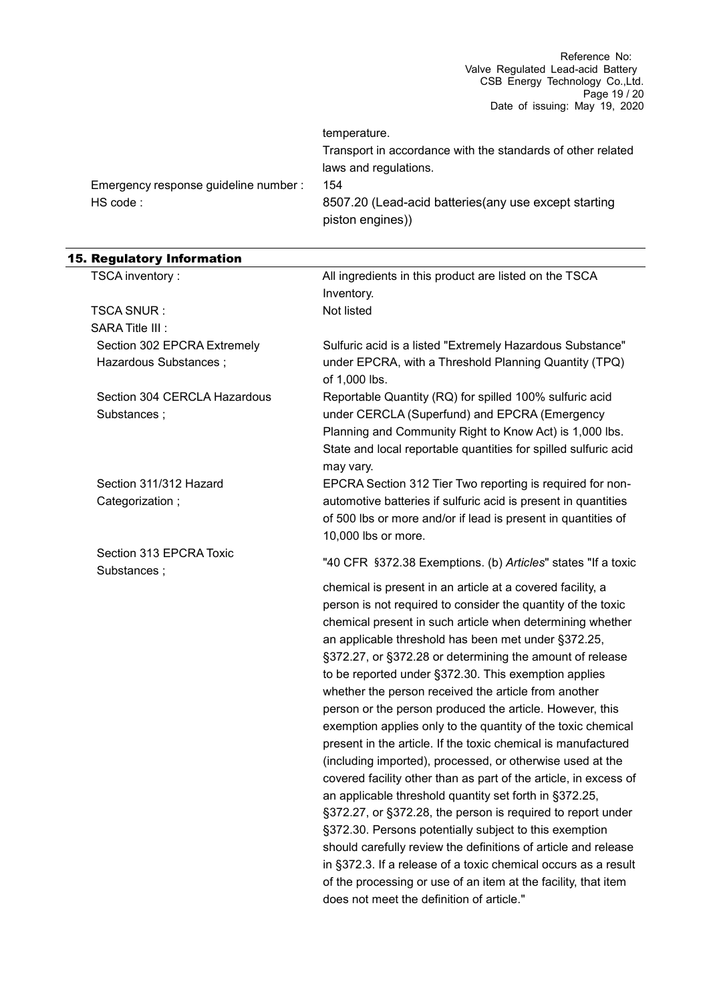|                                       | temperature.                                                              |
|---------------------------------------|---------------------------------------------------------------------------|
|                                       | Transport in accordance with the standards of other related               |
|                                       | laws and regulations.                                                     |
| Emergency response guideline number : | 154                                                                       |
| HS code:                              | 8507.20 (Lead-acid batteries (any use except starting<br>piston engines)) |

| <b>15. Regulatory Information</b>      |                                                                                                                       |
|----------------------------------------|-----------------------------------------------------------------------------------------------------------------------|
| TSCA inventory:                        | All ingredients in this product are listed on the TSCA                                                                |
|                                        | Inventory.                                                                                                            |
| TSCA SNUR :                            | Not listed                                                                                                            |
| SARA Title III :                       |                                                                                                                       |
| Section 302 EPCRA Extremely            | Sulfuric acid is a listed "Extremely Hazardous Substance"                                                             |
| Hazardous Substances;                  | under EPCRA, with a Threshold Planning Quantity (TPQ)<br>of 1,000 lbs.                                                |
| Section 304 CERCLA Hazardous           | Reportable Quantity (RQ) for spilled 100% sulfuric acid                                                               |
| Substances;                            | under CERCLA (Superfund) and EPCRA (Emergency                                                                         |
|                                        | Planning and Community Right to Know Act) is 1,000 lbs.                                                               |
|                                        | State and local reportable quantities for spilled sulfuric acid<br>may vary.                                          |
| Section 311/312 Hazard                 | EPCRA Section 312 Tier Two reporting is required for non-                                                             |
| Categorization;                        | automotive batteries if sulfuric acid is present in quantities                                                        |
|                                        | of 500 lbs or more and/or if lead is present in quantities of                                                         |
|                                        | 10,000 lbs or more.                                                                                                   |
| Section 313 EPCRA Toxic<br>Substances; | "40 CFR §372.38 Exemptions. (b) Articles" states "If a toxic                                                          |
|                                        | chemical is present in an article at a covered facility, a                                                            |
|                                        | person is not required to consider the quantity of the toxic                                                          |
|                                        | chemical present in such article when determining whether                                                             |
|                                        | an applicable threshold has been met under §372.25,                                                                   |
|                                        | §372.27, or §372.28 or determining the amount of release                                                              |
|                                        | to be reported under §372.30. This exemption applies                                                                  |
|                                        | whether the person received the article from another                                                                  |
|                                        | person or the person produced the article. However, this                                                              |
|                                        | exemption applies only to the quantity of the toxic chemical                                                          |
|                                        | present in the article. If the toxic chemical is manufactured                                                         |
|                                        | (including imported), processed, or otherwise used at the                                                             |
|                                        | covered facility other than as part of the article, in excess of                                                      |
|                                        | an applicable threshold quantity set forth in §372.25,                                                                |
|                                        | §372.27, or §372.28, the person is required to report under<br>§372.30. Persons potentially subject to this exemption |
|                                        | should carefully review the definitions of article and release                                                        |
|                                        | in §372.3. If a release of a toxic chemical occurs as a result                                                        |

of the processing or use of an item at the facility, that item

does not meet the definition of article."